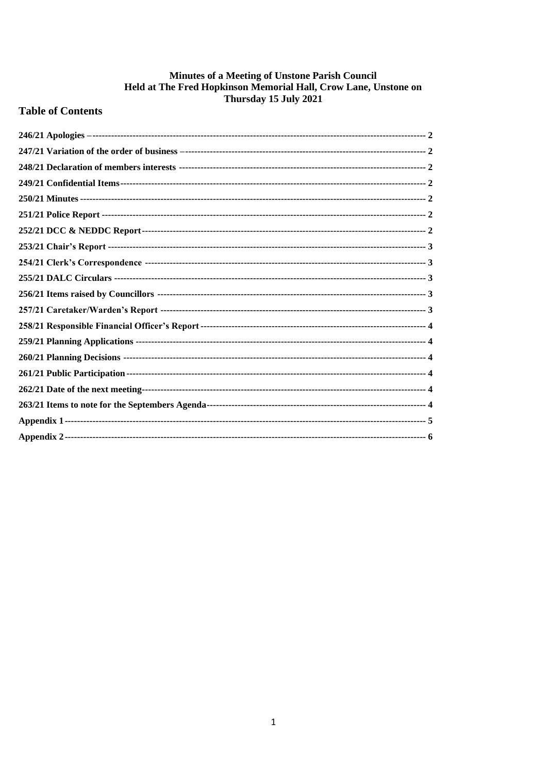# **Minutes of a Meeting of Unstone Parish Council<br>Held at The Fred Hopkinson Memorial Hall, Crow Lane, Unstone on<br>Thursday 15 July 2021**

### **Table of Contents**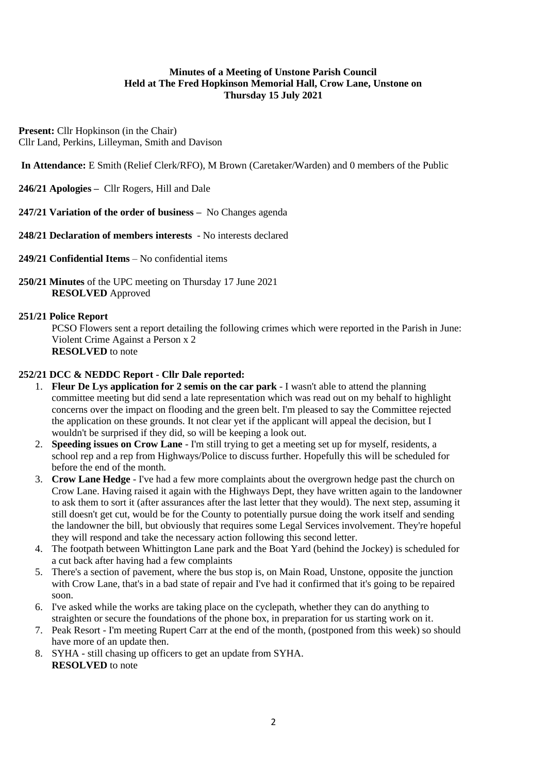#### **Minutes of a Meeting of Unstone Parish Council Held at The Fred Hopkinson Memorial Hall, Crow Lane, Unstone on Thursday 15 July 2021**

**Present:** Cllr Hopkinson (in the Chair) Cllr Land, Perkins, Lilleyman, Smith and Davison

**In Attendance:** E Smith (Relief Clerk/RFO), M Brown (Caretaker/Warden) and 0 members of the Public

<span id="page-1-0"></span>**246/21 Apologies –** Cllr Rogers, Hill and Dale

<span id="page-1-1"></span>**247/21 Variation of the order of business –** No Changes agenda

<span id="page-1-2"></span>**248/21 Declaration of members interests** - No interests declared

- <span id="page-1-3"></span>**249/21 Confidential Items** – No confidential items
- <span id="page-1-4"></span>**250/21 Minutes** of the UPC meeting on Thursday 17 June 2021 **RESOLVED** Approved

#### <span id="page-1-5"></span>**251/21 Police Report**

PCSO Flowers sent a report detailing the following crimes which were reported in the Parish in June: Violent Crime Against a Person x 2 **RESOLVED** to note

#### <span id="page-1-6"></span>**252/21 DCC & NEDDC Report - Cllr Dale reported:**

- 1. **Fleur De Lys application for 2 semis on the car park** I wasn't able to attend the planning committee meeting but did send a late representation which was read out on my behalf to highlight concerns over the impact on flooding and the green belt. I'm pleased to say the Committee rejected the application on these grounds. It not clear yet if the applicant will appeal the decision, but I wouldn't be surprised if they did, so will be keeping a look out.
- 2. **Speeding issues on Crow Lane**  I'm still trying to get a meeting set up for myself, residents, a school rep and a rep from Highways/Police to discuss further. Hopefully this will be scheduled for before the end of the month.
- 3. **Crow Lane Hedge** I've had a few more complaints about the overgrown hedge past the church on Crow Lane. Having raised it again with the Highways Dept, they have written again to the landowner to ask them to sort it (after assurances after the last letter that they would). The next step, assuming it still doesn't get cut, would be for the County to potentially pursue doing the work itself and sending the landowner the bill, but obviously that requires some Legal Services involvement. They're hopeful they will respond and take the necessary action following this second letter.
- 4. The footpath between Whittington Lane park and the Boat Yard (behind the Jockey) is scheduled for a cut back after having had a few complaints
- 5. There's a section of pavement, where the bus stop is, on Main Road, Unstone, opposite the junction with Crow Lane, that's in a bad state of repair and I've had it confirmed that it's going to be repaired soon.
- 6. I've asked while the works are taking place on the cyclepath, whether they can do anything to straighten or secure the foundations of the phone box, in preparation for us starting work on it.
- 7. Peak Resort I'm meeting Rupert Carr at the end of the month, (postponed from this week) so should have more of an update then.
- 8. SYHA still chasing up officers to get an update from SYHA. **RESOLVED** to note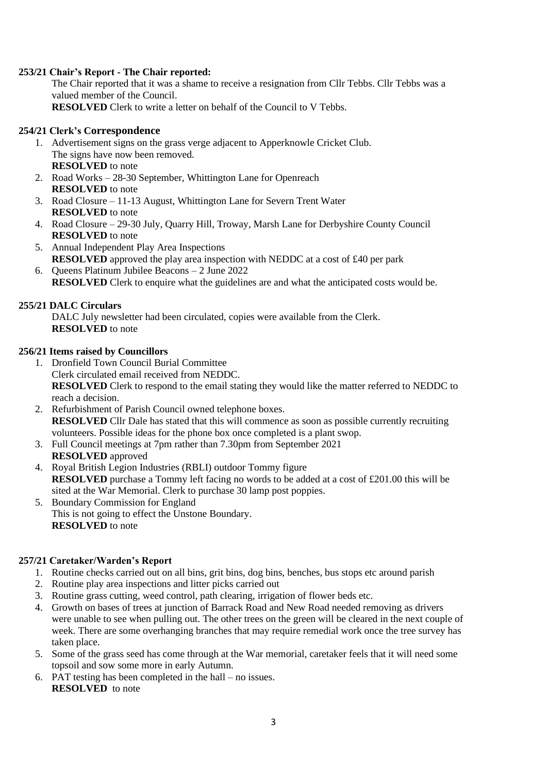#### <span id="page-2-0"></span>**253/21 Chair's Report - The Chair reported:**

The Chair reported that it was a shame to receive a resignation from Cllr Tebbs. Cllr Tebbs was a valued member of the Council. **RESOLVED** Clerk to write a letter on behalf of the Council to V Tebbs.

#### <span id="page-2-1"></span>**254/21 Clerk's Correspondence**

- 1. Advertisement signs on the grass verge adjacent to Apperknowle Cricket Club. The signs have now been removed. **RESOLVED** to note
- 2. Road Works 28-30 September, Whittington Lane for Openreach **RESOLVED** to note
- 3. Road Closure 11-13 August, Whittington Lane for Severn Trent Water **RESOLVED** to note
- 4. Road Closure 29-30 July, Quarry Hill, Troway, Marsh Lane for Derbyshire County Council **RESOLVED** to note
- 5. Annual Independent Play Area Inspections **RESOLVED** approved the play area inspection with NEDDC at a cost of £40 per park 6. Queens Platinum Jubilee Beacons – 2 June 2022
- **RESOLVED** Clerk to enquire what the guidelines are and what the anticipated costs would be.

#### <span id="page-2-2"></span>**255/21 DALC Circulars**

DALC July newsletter had been circulated, copies were available from the Clerk. **RESOLVED** to note

#### <span id="page-2-3"></span>**256/21 Items raised by Councillors**

- 1. Dronfield Town Council Burial Committee Clerk circulated email received from NEDDC. **RESOLVED** Clerk to respond to the email stating they would like the matter referred to NEDDC to reach a decision.
- 2. Refurbishment of Parish Council owned telephone boxes. **RESOLVED** Cllr Dale has stated that this will commence as soon as possible currently recruiting volunteers. Possible ideas for the phone box once completed is a plant swop.
- 3. Full Council meetings at 7pm rather than 7.30pm from September 2021 **RESOLVED** approved
- 4. Royal British Legion Industries (RBLI) outdoor Tommy figure **RESOLVED** purchase a Tommy left facing no words to be added at a cost of £201.00 this will be sited at the War Memorial. Clerk to purchase 30 lamp post poppies.
- 5. Boundary Commission for England This is not going to effect the Unstone Boundary. **RESOLVED** to note

#### <span id="page-2-4"></span>**257/21 Caretaker/Warden's Report**

- 1. Routine checks carried out on all bins, grit bins, dog bins, benches, bus stops etc around parish
- 2. Routine play area inspections and litter picks carried out
- 3. Routine grass cutting, weed control, path clearing, irrigation of flower beds etc.
- 4. Growth on bases of trees at junction of Barrack Road and New Road needed removing as drivers were unable to see when pulling out. The other trees on the green will be cleared in the next couple of week. There are some overhanging branches that may require remedial work once the tree survey has taken place.
- 5. Some of the grass seed has come through at the War memorial, caretaker feels that it will need some topsoil and sow some more in early Autumn.
- 6. PAT testing has been completed in the hall no issues. **RESOLVED** to note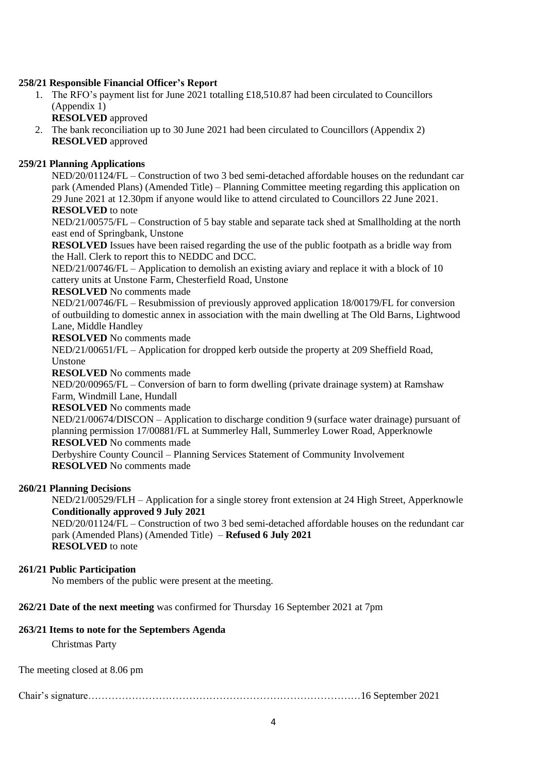#### <span id="page-3-0"></span>**258/21 Responsible Financial Officer's Report**

- 1. The RFO's payment list for June 2021 totalling £18,510.87 had been circulated to Councillors (Appendix 1)
	- **RESOLVED** approved
- 2. The bank reconciliation up to 30 June 2021 had been circulated to Councillors (Appendix 2) **RESOLVED** approved

#### <span id="page-3-1"></span>**259/21 Planning Applications**

NED/20/01124/FL – Construction of two 3 bed semi-detached affordable houses on the redundant car park (Amended Plans) (Amended Title) – Planning Committee meeting regarding this application on 29 June 2021 at 12.30pm if anyone would like to attend circulated to Councillors 22 June 2021. **RESOLVED** to note

NED/21/00575/FL – Construction of 5 bay stable and separate tack shed at Smallholding at the north east end of Springbank, Unstone

**RESOLVED** Issues have been raised regarding the use of the public footpath as a bridle way from the Hall. Clerk to report this to NEDDC and DCC.

NED/21/00746/FL – Application to demolish an existing aviary and replace it with a block of 10 cattery units at Unstone Farm, Chesterfield Road, Unstone

**RESOLVED** No comments made

NED/21/00746/FL – Resubmission of previously approved application 18/00179/FL for conversion of outbuilding to domestic annex in association with the main dwelling at The Old Barns, Lightwood Lane, Middle Handley

**RESOLVED** No comments made

NED/21/00651/FL – Application for dropped kerb outside the property at 209 Sheffield Road, Unstone

**RESOLVED** No comments made

NED/20/00965/FL – Conversion of barn to form dwelling (private drainage system) at Ramshaw Farm, Windmill Lane, Hundall

**RESOLVED** No comments made

NED/21/00674/DISCON – Application to discharge condition 9 (surface water drainage) pursuant of planning permission 17/00881/FL at Summerley Hall, Summerley Lower Road, Apperknowle **RESOLVED** No comments made

Derbyshire County Council – Planning Services Statement of Community Involvement **RESOLVED** No comments made

#### <span id="page-3-2"></span>**260/21 Planning Decisions**

NED/21/00529/FLH – Application for a single storey front extension at 24 High Street, Apperknowle **Conditionally approved 9 July 2021**

NED/20/01124/FL – Construction of two 3 bed semi-detached affordable houses on the redundant car park (Amended Plans) (Amended Title) – **Refused 6 July 2021 RESOLVED** to note

#### <span id="page-3-3"></span>**261/21 Public Participation**

No members of the public were present at the meeting.

#### <span id="page-3-4"></span>**262/21 Date of the next meeting** was confirmed for Thursday 16 September 2021 at 7pm

#### <span id="page-3-5"></span>**263/21 Items to note for the Septembers Agenda**

Christmas Party

The meeting closed at 8.06 pm

Chair's signature………………………………………………………………………16 September 2021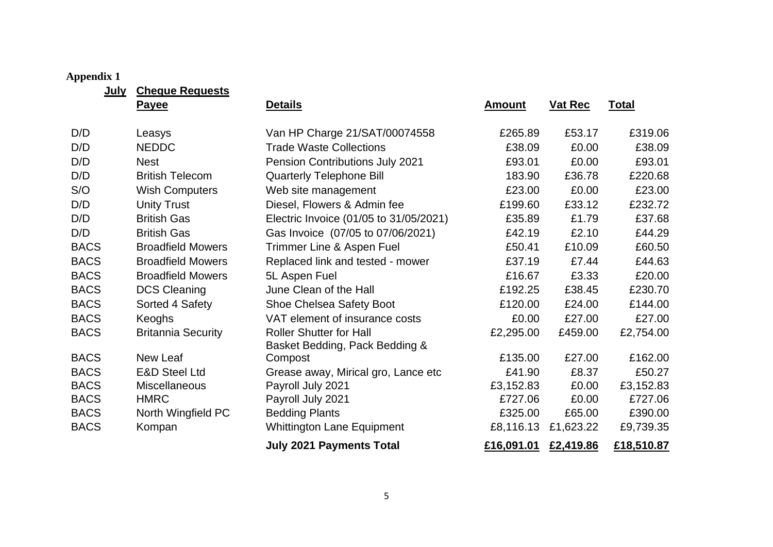## **Appendix 1**

**July Cheque Requests**

<span id="page-4-0"></span>

|             | <b>Payee</b>              | <b>Details</b>                                                   | <b>Amount</b> | <b>Vat Rec</b> | <b>Total</b> |
|-------------|---------------------------|------------------------------------------------------------------|---------------|----------------|--------------|
| D/D         | Leasys                    | Van HP Charge 21/SAT/00074558                                    | £265.89       | £53.17         | £319.06      |
| D/D         | <b>NEDDC</b>              | <b>Trade Waste Collections</b>                                   | £38.09        | £0.00          | £38.09       |
| D/D         | <b>Nest</b>               | Pension Contributions July 2021                                  | £93.01        | £0.00          | £93.01       |
| D/D         | <b>British Telecom</b>    | <b>Quarterly Telephone Bill</b>                                  | 183.90        | £36.78         | £220.68      |
| S/O         | <b>Wish Computers</b>     | Web site management                                              | £23.00        | £0.00          | £23.00       |
| D/D         | <b>Unity Trust</b>        | Diesel, Flowers & Admin fee                                      | £199.60       | £33.12         | £232.72      |
| D/D         | <b>British Gas</b>        | Electric Invoice (01/05 to 31/05/2021)                           | £35.89        | £1.79          | £37.68       |
| D/D         | <b>British Gas</b>        | Gas Invoice (07/05 to 07/06/2021)                                | £42.19        | £2.10          | £44.29       |
| <b>BACS</b> | <b>Broadfield Mowers</b>  | Trimmer Line & Aspen Fuel                                        | £50.41        | £10.09         | £60.50       |
| <b>BACS</b> | <b>Broadfield Mowers</b>  | Replaced link and tested - mower                                 | £37.19        | £7.44          | £44.63       |
| <b>BACS</b> | <b>Broadfield Mowers</b>  | 5L Aspen Fuel                                                    | £16.67        | £3.33          | £20.00       |
| <b>BACS</b> | <b>DCS Cleaning</b>       | June Clean of the Hall                                           | £192.25       | £38.45         | £230.70      |
| <b>BACS</b> | Sorted 4 Safety           | Shoe Chelsea Safety Boot                                         | £120.00       | £24.00         | £144.00      |
| <b>BACS</b> | Keoghs                    | VAT element of insurance costs                                   | £0.00         | £27.00         | £27.00       |
| <b>BACS</b> | <b>Britannia Security</b> | <b>Roller Shutter for Hall</b><br>Basket Bedding, Pack Bedding & | £2,295.00     | £459.00        | £2,754.00    |
| <b>BACS</b> | New Leaf                  | Compost                                                          | £135.00       | £27.00         | £162.00      |
| <b>BACS</b> | <b>E&amp;D Steel Ltd</b>  | Grease away, Mirical gro, Lance etc                              | £41.90        | £8.37          | £50.27       |
| <b>BACS</b> | <b>Miscellaneous</b>      | Payroll July 2021                                                | £3,152.83     | £0.00          | £3,152.83    |
| <b>BACS</b> | <b>HMRC</b>               | Payroll July 2021                                                | £727.06       | £0.00          | £727.06      |
| <b>BACS</b> | North Wingfield PC        | <b>Bedding Plants</b>                                            | £325.00       | £65.00         | £390.00      |
| <b>BACS</b> | Kompan                    | Whittington Lane Equipment                                       | £8,116.13     | £1,623.22      | £9,739.35    |
|             |                           | <b>July 2021 Payments Total</b>                                  | £16,091.01    | £2,419.86      | £18,510.87   |